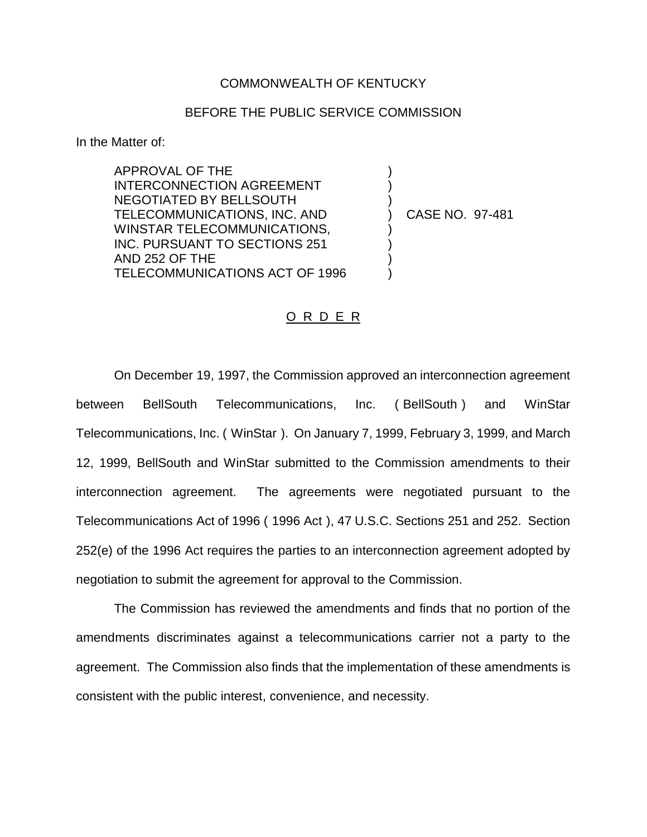## COMMONWEALTH OF KENTUCKY

## BEFORE THE PUBLIC SERVICE COMMISSION

) ) )

) ) ) )

In the Matter of:

APPROVAL OF THE INTERCONNECTION AGREEMENT NEGOTIATED BY BELLSOUTH TELECOMMUNICATIONS, INC. AND WINSTAR TELECOMMUNICATIONS, INC. PURSUANT TO SECTIONS 251 AND 252 OF THE TELECOMMUNICATIONS ACT OF 1996

) CASE NO. 97-481

## O R D E R

On December 19, 1997, the Commission approved an interconnection agreement between BellSouth Telecommunications, Inc. ( BellSouth ) and WinStar Telecommunications, Inc. ( WinStar ). On January 7, 1999, February 3, 1999, and March 12, 1999, BellSouth and WinStar submitted to the Commission amendments to their interconnection agreement. The agreements were negotiated pursuant to the Telecommunications Act of 1996 ( 1996 Act ), 47 U.S.C. Sections 251 and 252. Section 252(e) of the 1996 Act requires the parties to an interconnection agreement adopted by negotiation to submit the agreement for approval to the Commission.

The Commission has reviewed the amendments and finds that no portion of the amendments discriminates against a telecommunications carrier not a party to the agreement. The Commission also finds that the implementation of these amendments is consistent with the public interest, convenience, and necessity.